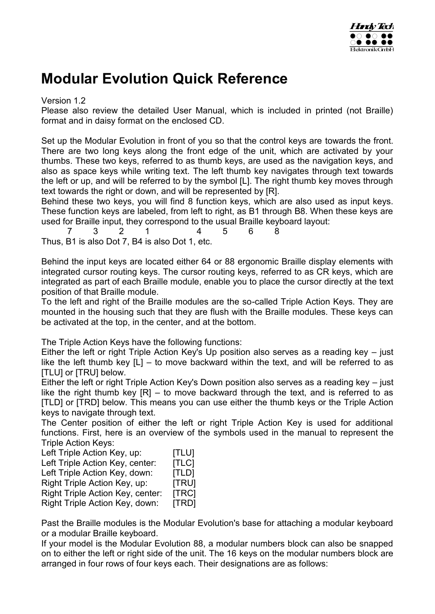

# **Modular Evolution Quick Reference**

Version 1.2

Please also review the detailed User Manual, which is included in printed (not Braille) format and in daisy format on the enclosed CD.

Set up the Modular Evolution in front of you so that the control keys are towards the front. There are two long keys along the front edge of the unit, which are activated by your thumbs. These two keys, referred to as thumb keys, are used as the navigation keys, and also as space keys while writing text. The left thumb key navigates through text towards the left or up, and will be referred to by the symbol [L]. The right thumb key moves through text towards the right or down, and will be represented by [R].

Behind these two keys, you will find 8 function keys, which are also used as input keys. These function keys are labeled, from left to right, as B1 through B8. When these keys are used for Braille input, they correspond to the usual Braille keyboard layout:

7 3 2 1 4 5 6 8 Thus, B1 is also Dot 7, B4 is also Dot 1, etc.

Behind the input keys are located either 64 or 88 ergonomic Braille display elements with integrated cursor routing keys. The cursor routing keys, referred to as CR keys, which are integrated as part of each Braille module, enable you to place the cursor directly at the text position of that Braille module.

To the left and right of the Braille modules are the so-called Triple Action Keys. They are mounted in the housing such that they are flush with the Braille modules. These keys can be activated at the top, in the center, and at the bottom.

The Triple Action Keys have the following functions:

Either the left or right Triple Action Key's Up position also serves as a reading key – just like the left thumb key  $[L]$  – to move backward within the text, and will be referred to as [TLU] or [TRU] below.

Either the left or right Triple Action Key's Down position also serves as a reading key – just like the right thumb key  $[**R**]$  – to move backward through the text, and is referred to as [TLD] or [TRD] below. This means you can use either the thumb keys or the Triple Action keys to navigate through text.

The Center position of either the left or right Triple Action Key is used for additional functions. First, here is an overview of the symbols used in the manual to represent the Triple Action Keys:

| Left Triple Action Key, up:      | <b>[TLU]</b> |
|----------------------------------|--------------|
| Left Triple Action Key, center:  | [TLC]        |
| Left Triple Action Key, down:    | [TLD]        |
| Right Triple Action Key, up:     | [TRU]        |
| Right Triple Action Key, center: | [TRC]        |
| Right Triple Action Key, down:   | [TRD]        |

Past the Braille modules is the Modular Evolution's base for attaching a modular keyboard or a modular Braille keyboard.

If your model is the Modular Evolution 88, a modular numbers block can also be snapped on to either the left or right side of the unit. The 16 keys on the modular numbers block are arranged in four rows of four keys each. Their designations are as follows: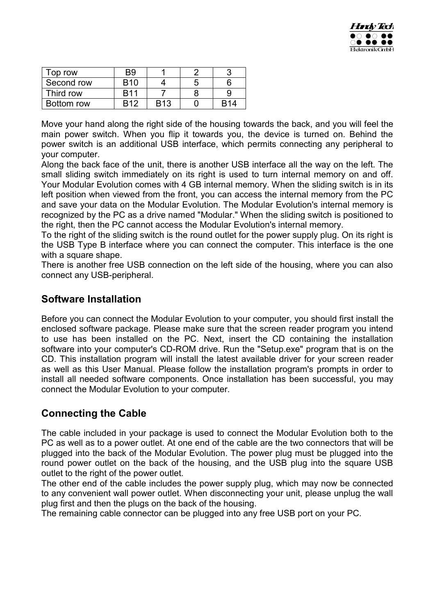

| Top row    | B <sub>9</sub> |            |   |                 |
|------------|----------------|------------|---|-----------------|
| Second row | <b>B</b> 10    |            | Ð |                 |
| Third row  | <b>R11</b>     |            |   |                 |
| Bottom row | <b>R12</b>     | <b>B13</b> |   | R <sub>14</sub> |

Move your hand along the right side of the housing towards the back, and you will feel the main power switch. When you flip it towards you, the device is turned on. Behind the power switch is an additional USB interface, which permits connecting any peripheral to your computer.

Along the back face of the unit, there is another USB interface all the way on the left. The small sliding switch immediately on its right is used to turn internal memory on and off. Your Modular Evolution comes with 4 GB internal memory. When the sliding switch is in its left position when viewed from the front, you can access the internal memory from the PC and save your data on the Modular Evolution. The Modular Evolution's internal memory is recognized by the PC as a drive named "Modular." When the sliding switch is positioned to the right, then the PC cannot access the Modular Evolution's internal memory.

To the right of the sliding switch is the round outlet for the power supply plug. On its right is the USB Type B interface where you can connect the computer. This interface is the one with a square shape.

There is another free USB connection on the left side of the housing, where you can also connect any USB-peripheral.

#### **Software Installation**

Before you can connect the Modular Evolution to your computer, you should first install the enclosed software package. Please make sure that the screen reader program you intend to use has been installed on the PC. Next, insert the CD containing the installation software into your computer's CD-ROM drive. Run the "Setup.exe" program that is on the CD. This installation program will install the latest available driver for your screen reader as well as this User Manual. Please follow the installation program's prompts in order to install all needed software components. Once installation has been successful, you may connect the Modular Evolution to your computer.

## **Connecting the Cable**

The cable included in your package is used to connect the Modular Evolution both to the PC as well as to a power outlet. At one end of the cable are the two connectors that will be plugged into the back of the Modular Evolution. The power plug must be plugged into the round power outlet on the back of the housing, and the USB plug into the square USB outlet to the right of the power outlet.

The other end of the cable includes the power supply plug, which may now be connected to any convenient wall power outlet. When disconnecting your unit, please unplug the wall plug first and then the plugs on the back of the housing.

The remaining cable connector can be plugged into any free USB port on your PC.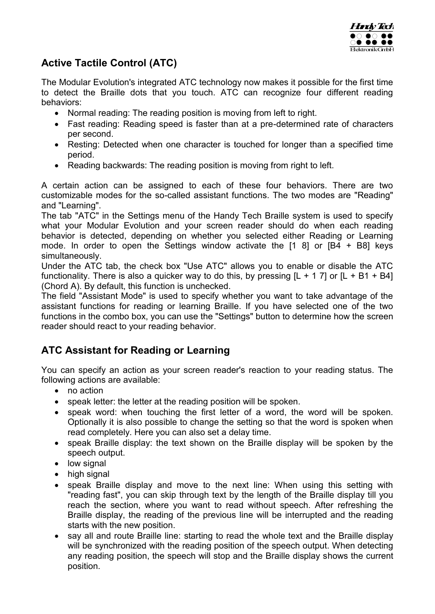

## **Active Tactile Control (ATC)**

The Modular Evolution's integrated ATC technology now makes it possible for the first time to detect the Braille dots that you touch. ATC can recognize four different reading behaviors:

- Normal reading: The reading position is moving from left to right.
- Fast reading: Reading speed is faster than at a pre-determined rate of characters per second.
- Resting: Detected when one character is touched for longer than a specified time period.
- Reading backwards: The reading position is moving from right to left.

A certain action can be assigned to each of these four behaviors. There are two customizable modes for the so-called assistant functions. The two modes are "Reading" and "Learning".

The tab "ATC" in the Settings menu of the Handy Tech Braille system is used to specify what your Modular Evolution and your screen reader should do when each reading behavior is detected, depending on whether you selected either Reading or Learning mode. In order to open the Settings window activate the [1 8] or [B4 + B8] keys simultaneously.

Under the ATC tab, the check box "Use ATC" allows you to enable or disable the ATC functionality. There is also a quicker way to do this, by pressing  $[L + 1 7]$  or  $[L + B1 + B4]$ (Chord A). By default, this function is unchecked.

The field "Assistant Mode" is used to specify whether you want to take advantage of the assistant functions for reading or learning Braille. If you have selected one of the two functions in the combo box, you can use the "Settings" button to determine how the screen reader should react to your reading behavior.

## **ATC Assistant for Reading or Learning**

You can specify an action as your screen reader's reaction to your reading status. The following actions are available:

- no action
- speak letter: the letter at the reading position will be spoken.
- speak word: when touching the first letter of a word, the word will be spoken. Optionally it is also possible to change the setting so that the word is spoken when read completely. Here you can also set a delay time.
- speak Braille display: the text shown on the Braille display will be spoken by the speech output.
- low signal
- high signal
- speak Braille display and move to the next line: When using this setting with "reading fast", you can skip through text by the length of the Braille display till you reach the section, where you want to read without speech. After refreshing the Braille display, the reading of the previous line will be interrupted and the reading starts with the new position.
- say all and route Braille line: starting to read the whole text and the Braille display will be synchronized with the reading position of the speech output. When detecting any reading position, the speech will stop and the Braille display shows the current position.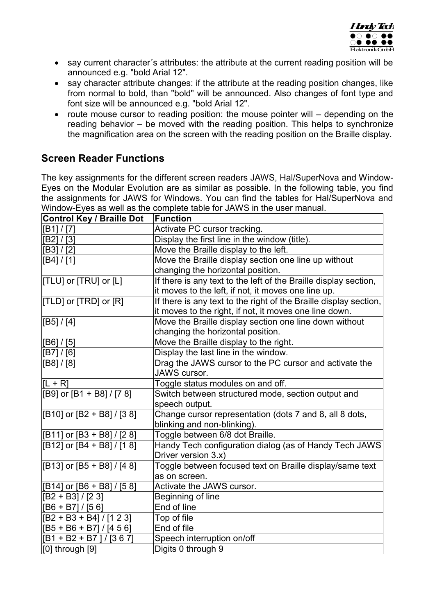

- say current character's attributes: the attribute at the current reading position will be announced e.g. "bold Arial 12".
- say character attribute changes: if the attribute at the reading position changes, like from normal to bold, than "bold" will be announced. Also changes of font type and font size will be announced e.g. "bold Arial 12".
- route mouse cursor to reading position: the mouse pointer will depending on the reading behavior – be moved with the reading position. This helps to synchronize the magnification area on the screen with the reading position on the Braille display.

## **Screen Reader Functions**

The key assignments for the different screen readers JAWS, Hal/SuperNova and Window-Eyes on the Modular Evolution are as similar as possible. In the following table, you find the assignments for JAWS for Windows. You can find the tables for Hal/SuperNova and Window-Eyes as well as the complete table for JAWS in the user manual.

| <b>Control Key / Braille Dot</b> | <b>Function</b>                                                   |
|----------------------------------|-------------------------------------------------------------------|
| [B1] / [7]                       | Activate PC cursor tracking.                                      |
| [B2] / [3]                       | Display the first line in the window (title).                     |
| [B3] / [2]                       | Move the Braille display to the left.                             |
| [B4] / [1]                       | Move the Braille display section one line up without              |
|                                  | changing the horizontal position.                                 |
| [[TLU] or [TRU] or [L]           | If there is any text to the left of the Braille display section,  |
|                                  | it moves to the left, if not, it moves one line up.               |
| [TLD] or [TRD] or [R]            | If there is any text to the right of the Braille display section, |
|                                  | it moves to the right, if not, it moves one line down.            |
| [B5] / [4]                       | Move the Braille display section one line down without            |
|                                  | changing the horizontal position.                                 |
| [B6] / [5]                       | Move the Braille display to the right.                            |
| [B7] / [6]                       | Display the last line in the window.                              |
| [B8] / [8]                       | Drag the JAWS cursor to the PC cursor and activate the            |
|                                  | JAWS cursor.                                                      |
| $ L + R $                        | Toggle status modules on and off.                                 |
| [B9] or [B1 + B8] / [7 8]        | Switch between structured mode, section output and                |
|                                  | speech output.                                                    |
| [B10] or [B2 + B8] / [3 8]       | Change cursor representation (dots 7 and 8, all 8 dots,           |
|                                  | blinking and non-blinking).                                       |
| [B11] or [B3 + B8] / [2 8]       | Toggle between 6/8 dot Braille.                                   |
| [B12] or [B4 + B8] / [1 8]       | Handy Tech configuration dialog (as of Handy Tech JAWS            |
|                                  | Driver version 3.x)                                               |
| [B13] or [B5 + B8] / [4 8]       | Toggle between focused text on Braille display/same text          |
|                                  | as on screen.                                                     |
| [B14] or [B6 + B8] / [5 8]       | Activate the JAWS cursor.                                         |
| $[B2 + B3]/[23]$                 | Beginning of line                                                 |
| $[B6 + B7]/[56]$                 | End of line                                                       |
| $[B2 + B3 + B4]/[1 2 3]$         | Top of file                                                       |
| $[B5 + B6 + B7] / [4 5 6]$       | End of file                                                       |
| $[B1 + B2 + B7]/[367]$           | Speech interruption on/off                                        |
| $[0]$ through $[9]$              | Digits 0 through 9                                                |